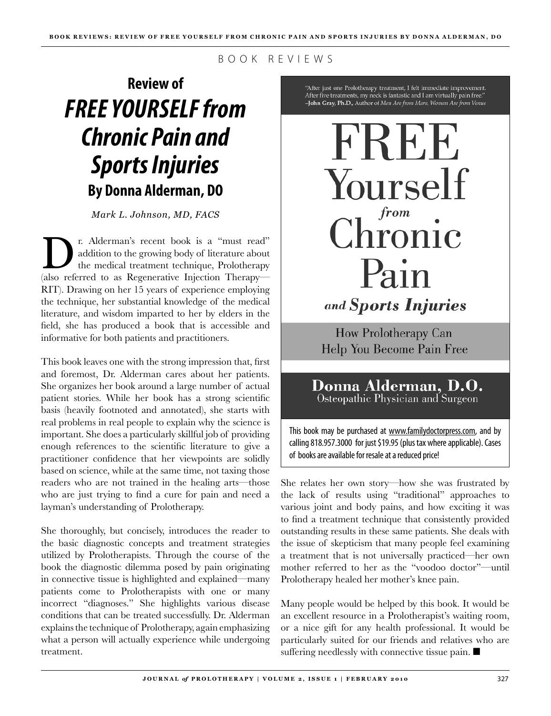B O O K R E V I E W S

## **Review of** *FREE YOURSELF from Chronic Pain and Sports Injuries* **By Donna Alderman, DO**

*Mark L. Johnson, MD, FACS*

The Alderman's recent book is a "must read" addition to the growing body of literature about the medical treatment technique, Prolotherapy addition to the growing body of literature about the medical treatment technique, Prolotherapy (also referred to as Regenerative Injection Therapy— RIT). Drawing on her 15 years of experience employing the technique, her substantial knowledge of the medical literature, and wisdom imparted to her by elders in the field, she has produced a book that is accessible and informative for both patients and practitioners.

This book leaves one with the strong impression that, first and foremost, Dr. Alderman cares about her patients. She organizes her book around a large number of actual patient stories. While her book has a strong scientific basis (heavily footnoted and annotated), she starts with real problems in real people to explain why the science is important. She does a particularly skillful job of providing enough references to the scientific literature to give a practitioner confidence that her viewpoints are solidly based on science, while at the same time, not taxing those readers who are not trained in the healing arts—those who are just trying to find a cure for pain and need a layman's understanding of Prolotherapy.

She thoroughly, but concisely, introduces the reader to the basic diagnostic concepts and treatment strategies utilized by Prolotherapists. Through the course of the book the diagnostic dilemma posed by pain originating in connective tissue is highlighted and explained—many patients come to Prolotherapists with one or many incorrect "diagnoses." She highlights various disease conditions that can be treated successfully. Dr. Alderman explains the technique of Prolotherapy, again emphasizing what a person will actually experience while undergoing treatment.

"After just one Prolotherapy treatment, I felt immediate improvement. After five treatments, my neck is fantastic and I am virtually pain free." -John Gray, Ph.D., Author of Men Are from Mars, Woman Are from Venus

FREE Yourself from  $\mathop{{\rm Chronic}}$ Pain and **Sports Injuries** 

How Prolotherapy Can Help You Become Pain Free

## Donna Alderman, D.O. Osteopathic Physician and Surgeon

This book may be purchased at www.familydoctorpress.com, and by calling 818.957.3000 for just \$19.95 (plus tax where applicable). Cases of books are available for resale at a reduced price!

She relates her own story—how she was frustrated by the lack of results using "traditional" approaches to various joint and body pains, and how exciting it was to find a treatment technique that consistently provided outstanding results in these same patients. She deals with the issue of skepticism that many people feel examining a treatment that is not universally practiced—her own mother referred to her as the "voodoo doctor"—until Prolotherapy healed her mother's knee pain.

Many people would be helped by this book. It would be an excellent resource in a Prolotherapist's waiting room, or a nice gift for any health professional. It would be particularly suited for our friends and relatives who are suffering needlessly with connective tissue pain.  $\blacksquare$